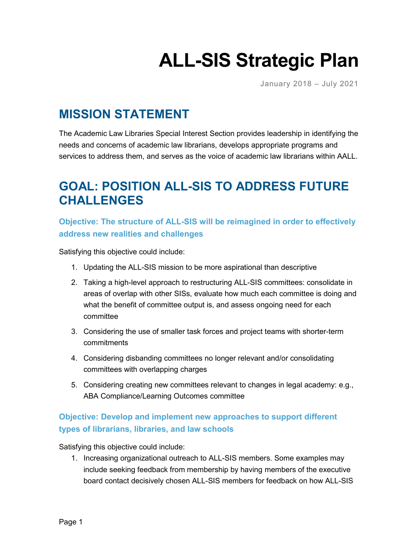# **ALL-SIS Strategic Plan**

January 2018 – July 2021

## **MISSION STATEMENT**

The Academic Law Libraries Special Interest Section provides leadership in identifying the needs and concerns of academic law librarians, develops appropriate programs and services to address them, and serves as the voice of academic law librarians within AALL.

# **GOAL: POSITION ALL-SIS TO ADDRESS FUTURE CHALLENGES**

**Objective: The structure of ALL-SIS will be reimagined in order to effectively address new realities and challenges**

Satisfying this objective could include:

- 1. Updating the ALL-SIS mission to be more aspirational than descriptive
- 2. Taking a high-level approach to restructuring ALL-SIS committees: consolidate in areas of overlap with other SISs, evaluate how much each committee is doing and what the benefit of committee output is, and assess ongoing need for each committee
- 3. Considering the use of smaller task forces and project teams with shorter-term commitments
- 4. Considering disbanding committees no longer relevant and/or consolidating committees with overlapping charges
- 5. Considering creating new committees relevant to changes in legal academy: e.g., ABA Compliance/Learning Outcomes committee

## **Objective: Develop and implement new approaches to support different types of librarians, libraries, and law schools**

Satisfying this objective could include:

1. Increasing organizational outreach to ALL-SIS members. Some examples may include seeking feedback from membership by having members of the executive board contact decisively chosen ALL-SIS members for feedback on how ALL-SIS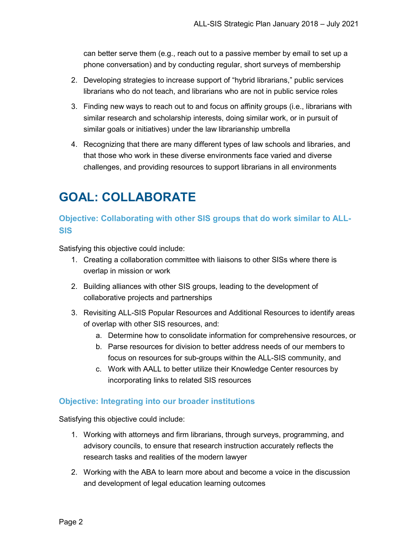can better serve them (e.g., reach out to a passive member by email to set up a phone conversation) and by conducting regular, short surveys of membership

- 2. Developing strategies to increase support of "hybrid librarians," public services librarians who do not teach, and librarians who are not in public service roles
- 3. Finding new ways to reach out to and focus on affinity groups (i.e., librarians with similar research and scholarship interests, doing similar work, or in pursuit of similar goals or initiatives) under the law librarianship umbrella
- 4. Recognizing that there are many different types of law schools and libraries, and that those who work in these diverse environments face varied and diverse challenges, and providing resources to support librarians in all environments

# **GOAL: COLLABORATE**

## **Objective: Collaborating with other SIS groups that do work similar to ALL-SIS**

Satisfying this objective could include:

- 1. Creating a collaboration committee with liaisons to other SISs where there is overlap in mission or work
- 2. Building alliances with other SIS groups, leading to the development of collaborative projects and partnerships
- 3. Revisiting ALL-SIS Popular Resources and Additional Resources to identify areas of overlap with other SIS resources, and:
	- a. Determine how to consolidate information for comprehensive resources, or
	- b. Parse resources for division to better address needs of our members to focus on resources for sub-groups within the ALL-SIS community, and
	- c. Work with AALL to better utilize their Knowledge Center resources by incorporating links to related SIS resources

#### **Objective: Integrating into our broader institutions**

Satisfying this objective could include:

- 1. Working with attorneys and firm librarians, through surveys, programming, and advisory councils, to ensure that research instruction accurately reflects the research tasks and realities of the modern lawyer
- 2. Working with the ABA to learn more about and become a voice in the discussion and development of legal education learning outcomes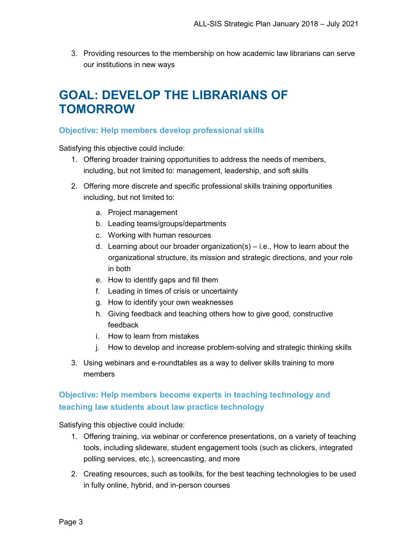3. Providing resources to the membership on how academic law librarians can serve our institutions in new ways

## **GOAL: DEVELOP THE LIBRARIANS OF TOMORROW**

#### **Objective: Help members develop professional skills**

Satisfying this objective could include:

- 1. Offering broader training opportunities to address the needs of members, including, but not limited to: management, leadership, and soft skills
- 2. Offering more discrete and specific professional skills training opportunities including, but not limited to:
	- a. Project management
	- b. Leading teams/groups/departments
	- c. Working with human resources
	- d. Learning about our broader organization(s) i.e., How to learn about the organizational structure, its mission and strategic directions, and your role in both
	- e. How to identify gaps and fill them
	- f. Leading in times of crisis or uncertainty
	- g. How to identify your own weaknesses
	- h. Giving feedback and teaching others how to give good, constructive feedback
	- i. How to learn from mistakes
	- j. How to develop and increase problem-solving and strategic thinking skills
- 3. Using webinars and e-roundtables as a way to deliver skills training to more members

## **Objective: Help members become experts in teaching technology and teaching law students about law practice technology**

Satisfying this objective could include:

- 1. Offering training, via webinar or conference presentations, on a variety of teaching tools, including slideware, student engagement tools (such as clickers, integrated polling services, etc.), screencasting, and more
- 2. Creating resources, such as toolkits, for the best teaching technologies to be used in fully online, hybrid, and in-person courses